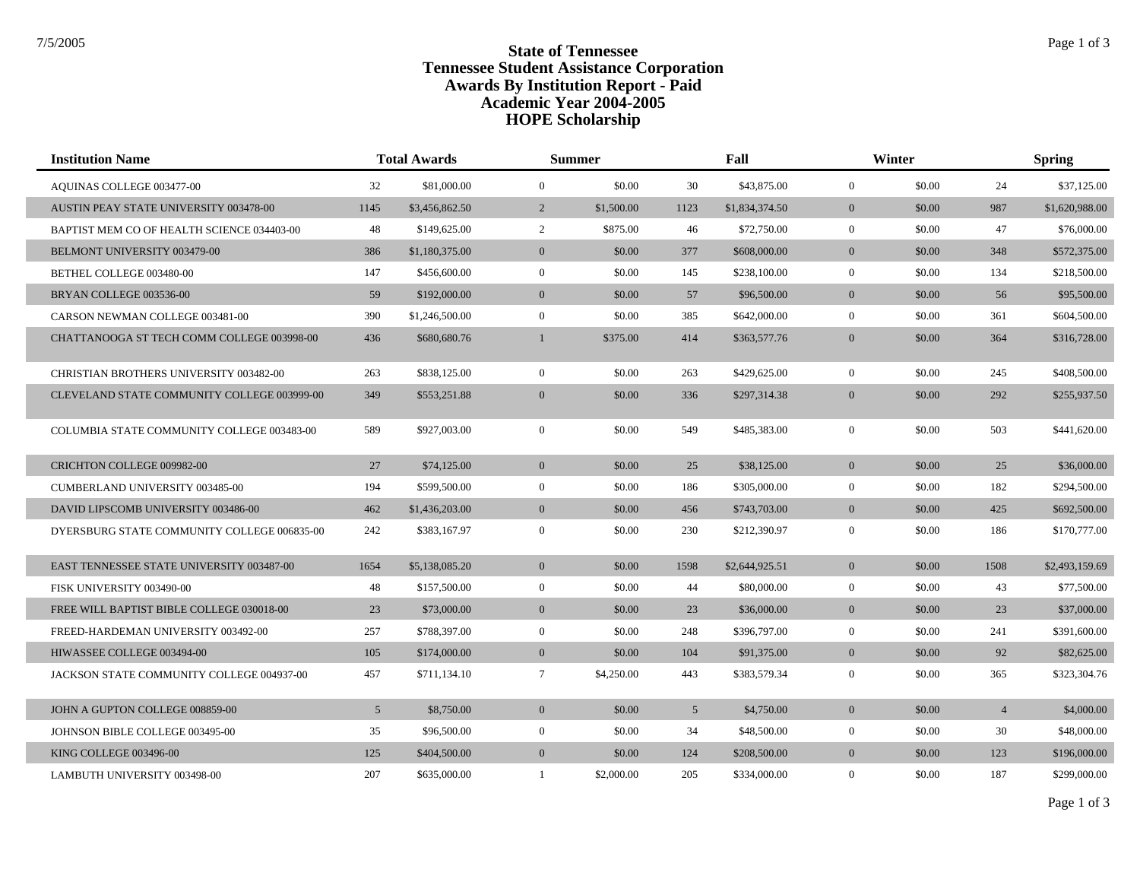## **State of Tennessee** State of Tennessee **Tennessee Student Assistance Corporation Awards By Institution Report - Paid HOPE Scholarship Academic Year 2004-2005**

| <b>Institution Name</b>                          |                 | <b>Total Awards</b> |                  | <b>Summer</b> |                | Fall           |                | Winter |                | <b>Spring</b>  |
|--------------------------------------------------|-----------------|---------------------|------------------|---------------|----------------|----------------|----------------|--------|----------------|----------------|
| AQUINAS COLLEGE 003477-00                        | 32              | \$81,000.00         | $\mathbf{0}$     | \$0.00        | 30             | \$43,875.00    | $\overline{0}$ | \$0.00 | 24             | \$37,125.00    |
| AUSTIN PEAY STATE UNIVERSITY 003478-00           | 1145            | \$3,456,862.50      | 2                | \$1,500.00    | 1123           | \$1,834,374.50 | $\overline{0}$ | \$0.00 | 987            | \$1,620,988.00 |
| BAPTIST MEM CO OF HEALTH SCIENCE 034403-00       | 48              | \$149,625.00        | 2                | \$875.00      | 46             | \$72,750.00    | $\overline{0}$ | \$0.00 | 47             | \$76,000.00    |
| BELMONT UNIVERSITY 003479-00                     | 386             | \$1,180,375.00      | $\mathbf{0}$     | \$0.00        | 377            | \$608,000.00   | $\overline{0}$ | \$0.00 | 348            | \$572,375.00   |
| BETHEL COLLEGE 003480-00                         | 147             | \$456,600.00        | $\mathbf{0}$     | \$0.00        | 145            | \$238,100.00   | $\overline{0}$ | \$0.00 | 134            | \$218,500.00   |
| BRYAN COLLEGE 003536-00                          | 59              | \$192,000.00        | $\mathbf{0}$     | \$0.00        | 57             | \$96,500.00    | $\overline{0}$ | \$0.00 | 56             | \$95,500.00    |
| CARSON NEWMAN COLLEGE 003481-00                  | 390             | \$1,246,500.00      | $\mathbf{0}$     | \$0.00        | 385            | \$642,000.00   | $\overline{0}$ | \$0.00 | 361            | \$604,500.00   |
| CHATTANOOGA ST TECH COMM COLLEGE 003998-00       | 436             | \$680,680.76        | $\mathbf{1}$     | \$375.00      | 414            | \$363,577.76   | $\mathbf{0}$   | \$0.00 | 364            | \$316,728.00   |
| <b>CHRISTIAN BROTHERS UNIVERSITY 003482-00</b>   | 263             | \$838,125.00        | $\mathbf{0}$     | \$0.00        | 263            | \$429,625.00   | $\overline{0}$ | \$0.00 | 245            | \$408,500.00   |
| CLEVELAND STATE COMMUNITY COLLEGE 003999-00      | 349             | \$553,251.88        | $\mathbf{0}$     | \$0.00        | 336            | \$297,314.38   | $\mathbf{0}$   | \$0.00 | 292            | \$255,937.50   |
| COLUMBIA STATE COMMUNITY COLLEGE 003483-00       | 589             | \$927,003.00        | $\mathbf{0}$     | \$0.00        | 549            | \$485,383.00   | $\overline{0}$ | \$0.00 | 503            | \$441,620.00   |
| CRICHTON COLLEGE 009982-00                       | 27              | \$74,125.00         | $\mathbf{0}$     | \$0.00        | 25             | \$38,125.00    | $\overline{0}$ | \$0.00 | 25             | \$36,000.00    |
| <b>CUMBERLAND UNIVERSITY 003485-00</b>           | 194             | \$599,500.00        | $\mathbf{0}$     | \$0.00        | 186            | \$305,000.00   | $\overline{0}$ | \$0.00 | 182            | \$294,500.00   |
| DAVID LIPSCOMB UNIVERSITY 003486-00              | 462             | \$1,436,203.00      | $\mathbf{0}$     | \$0.00        | 456            | \$743,703.00   | $\overline{0}$ | \$0.00 | 425            | \$692,500.00   |
| DYERSBURG STATE COMMUNITY COLLEGE 006835-00      | 242             | \$383,167.97        | $\mathbf{0}$     | \$0.00        | 230            | \$212,390.97   | $\overline{0}$ | \$0.00 | 186            | \$170,777.00   |
| <b>EAST TENNESSEE STATE UNIVERSITY 003487-00</b> | 1654            | \$5,138,085.20      | $\mathbf{0}$     | \$0.00        | 1598           | \$2,644,925.51 | $\overline{0}$ | \$0.00 | 1508           | \$2,493,159.69 |
| FISK UNIVERSITY 003490-00                        | 48              | \$157,500.00        | $\mathbf{0}$     | \$0.00        | 44             | \$80,000.00    | $\overline{0}$ | \$0.00 | 43             | \$77,500.00    |
| FREE WILL BAPTIST BIBLE COLLEGE 030018-00        | 23              | \$73,000.00         | $\overline{0}$   | \$0.00        | 23             | \$36,000.00    | $\overline{0}$ | \$0.00 | 23             | \$37,000.00    |
| FREED-HARDEMAN UNIVERSITY 003492-00              | 257             | \$788,397.00        | $\mathbf{0}$     | \$0.00        | 248            | \$396,797.00   | $\overline{0}$ | \$0.00 | 241            | \$391,600.00   |
| HIWASSEE COLLEGE 003494-00                       | 105             | \$174,000.00        | $\mathbf{0}$     | \$0.00        | 104            | \$91,375.00    | $\overline{0}$ | \$0.00 | 92             | \$82,625.00    |
| JACKSON STATE COMMUNITY COLLEGE 004937-00        | 457             | \$711,134.10        | $\tau$           | \$4,250.00    | 443            | \$383,579.34   | $\Omega$       | \$0.00 | 365            | \$323,304.76   |
| JOHN A GUPTON COLLEGE 008859-00                  | $5\overline{)}$ | \$8,750.00          | $\mathbf{0}$     | \$0.00        | 5 <sup>5</sup> | \$4,750.00     | $\overline{0}$ | \$0.00 | $\overline{4}$ | \$4,000.00     |
| JOHNSON BIBLE COLLEGE 003495-00                  | 35              | \$96,500.00         | $\boldsymbol{0}$ | \$0.00        | 34             | \$48,500.00    | $\mathbf{0}$   | \$0.00 | 30             | \$48,000.00    |
| KING COLLEGE 003496-00                           | 125             | \$404,500.00        | $\overline{0}$   | \$0.00        | 124            | \$208,500.00   | $\overline{0}$ | \$0.00 | 123            | \$196,000.00   |
| LAMBUTH UNIVERSITY 003498-00                     | 207             | \$635,000.00        | -1               | \$2,000.00    | 205            | \$334,000.00   | $\overline{0}$ | \$0.00 | 187            | \$299,000.00   |

Page 1 of 3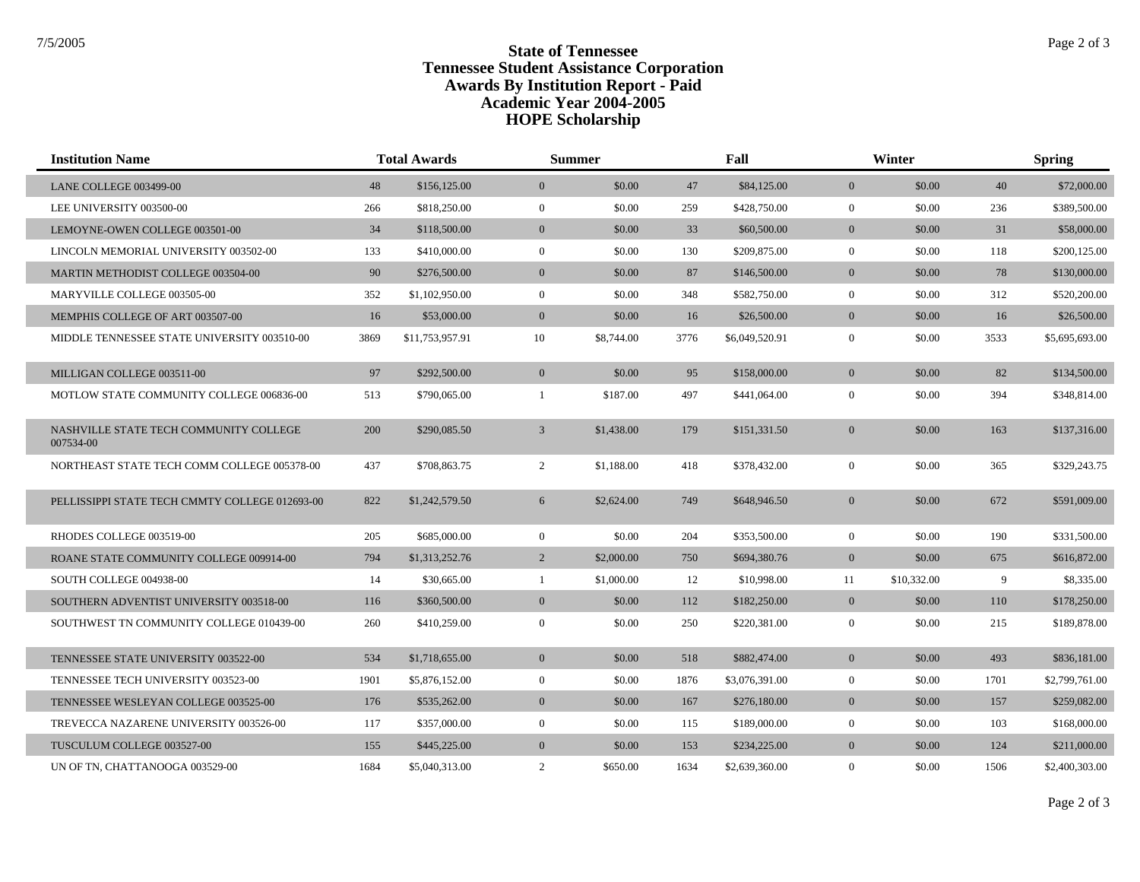## **State of Tennessee** State of Tennessee **Tennessee Student Assistance Corporation Awards By Institution Report - Paid HOPE Scholarship Academic Year 2004-2005**

| <b>Institution Name</b>                             |      | <b>Total Awards</b><br><b>Summer</b><br>Fall |                  |            | Winter |                | <b>Spring</b>  |             |      |                |
|-----------------------------------------------------|------|----------------------------------------------|------------------|------------|--------|----------------|----------------|-------------|------|----------------|
| LANE COLLEGE 003499-00                              | 48   | \$156,125.00                                 | $\mathbf{0}$     | \$0.00     | 47     | \$84,125.00    | $\overline{0}$ | \$0.00      | 40   | \$72,000.00    |
| LEE UNIVERSITY 003500-00                            | 266  | \$818,250.00                                 | $\boldsymbol{0}$ | \$0.00     | 259    | \$428,750.00   | $\overline{0}$ | \$0.00      | 236  | \$389,500.00   |
| LEMOYNE-OWEN COLLEGE 003501-00                      | 34   | \$118,500.00                                 | $\mathbf{0}$     | \$0.00     | 33     | \$60,500.00    | $\overline{0}$ | \$0.00      | 31   | \$58,000.00    |
| LINCOLN MEMORIAL UNIVERSITY 003502-00               | 133  | \$410,000.00                                 | $\mathbf{0}$     | \$0.00     | 130    | \$209,875.00   | $\overline{0}$ | \$0.00      | 118  | \$200,125.00   |
| MARTIN METHODIST COLLEGE 003504-00                  | 90   | \$276,500.00                                 | $\overline{0}$   | \$0.00     | 87     | \$146,500.00   | $\overline{0}$ | \$0.00      | 78   | \$130,000.00   |
| MARYVILLE COLLEGE 003505-00                         | 352  | \$1,102,950.00                               | $\mathbf{0}$     | \$0.00     | 348    | \$582,750.00   | $\overline{0}$ | \$0.00      | 312  | \$520,200.00   |
| MEMPHIS COLLEGE OF ART 003507-00                    | 16   | \$53,000.00                                  | $\mathbf{0}$     | \$0.00     | 16     | \$26,500.00    | $\overline{0}$ | \$0.00      | 16   | \$26,500.00    |
| MIDDLE TENNESSEE STATE UNIVERSITY 003510-00         | 3869 | \$11,753,957.91                              | 10               | \$8,744.00 | 3776   | \$6,049,520.91 | $\overline{0}$ | \$0.00      | 3533 | \$5,695,693.00 |
| MILLIGAN COLLEGE 003511-00                          | 97   | \$292,500.00                                 | $\overline{0}$   | \$0.00     | 95     | \$158,000.00   | $\overline{0}$ | \$0.00      | 82   | \$134,500.00   |
| MOTLOW STATE COMMUNITY COLLEGE 006836-00            | 513  | \$790,065.00                                 | 1                | \$187.00   | 497    | \$441,064.00   | $\overline{0}$ | \$0.00      | 394  | \$348,814.00   |
| NASHVILLE STATE TECH COMMUNITY COLLEGE<br>007534-00 | 200  | \$290,085.50                                 | $\mathfrak{Z}$   | \$1,438.00 | 179    | \$151,331.50   | $\overline{0}$ | \$0.00      | 163  | \$137,316.00   |
| NORTHEAST STATE TECH COMM COLLEGE 005378-00         | 437  | \$708,863.75                                 | 2                | \$1,188.00 | 418    | \$378,432.00   | $\overline{0}$ | \$0.00      | 365  | \$329,243.75   |
| PELLISSIPPI STATE TECH CMMTY COLLEGE 012693-00      | 822  | \$1,242,579.50                               | 6                | \$2,624.00 | 749    | \$648,946.50   | $\mathbf{0}$   | \$0.00      | 672  | \$591,009.00   |
| RHODES COLLEGE 003519-00                            | 205  | \$685,000.00                                 | $\boldsymbol{0}$ | \$0.00     | 204    | \$353,500.00   | $\overline{0}$ | \$0.00      | 190  | \$331,500.00   |
| ROANE STATE COMMUNITY COLLEGE 009914-00             | 794  | \$1,313,252.76                               | 2                | \$2,000.00 | 750    | \$694,380.76   | $\overline{0}$ | \$0.00      | 675  | \$616,872.00   |
| SOUTH COLLEGE 004938-00                             | 14   | \$30,665.00                                  | $\mathbf{1}$     | \$1,000.00 | 12     | \$10,998.00    | 11             | \$10,332.00 | 9    | \$8,335.00     |
| SOUTHERN ADVENTIST UNIVERSITY 003518-00             | 116  | \$360,500.00                                 | $\mathbf{0}$     | \$0.00     | 112    | \$182,250.00   | $\overline{0}$ | \$0.00      | 110  | \$178,250.00   |
| SOUTHWEST TN COMMUNITY COLLEGE 010439-00            | 260  | \$410,259.00                                 | $\overline{0}$   | \$0.00     | 250    | \$220,381.00   | $\overline{0}$ | \$0.00      | 215  | \$189,878.00   |
| TENNESSEE STATE UNIVERSITY 003522-00                | 534  | \$1,718,655.00                               | $\mathbf{0}$     | \$0.00     | 518    | \$882,474.00   | $\mathbf{0}$   | \$0.00      | 493  | \$836,181.00   |
| TENNESSEE TECH UNIVERSITY 003523-00                 | 1901 | \$5,876,152.00                               | $\overline{0}$   | \$0.00     | 1876   | \$3,076,391.00 | $\overline{0}$ | \$0.00      | 1701 | \$2,799,761.00 |
| TENNESSEE WESLEYAN COLLEGE 003525-00                | 176  | \$535,262.00                                 | $\mathbf{0}$     | \$0.00     | 167    | \$276,180.00   | $\overline{0}$ | \$0.00      | 157  | \$259,082.00   |
| TREVECCA NAZARENE UNIVERSITY 003526-00              | 117  | \$357,000.00                                 | $\overline{0}$   | \$0.00     | 115    | \$189,000.00   | $\overline{0}$ | \$0.00      | 103  | \$168,000.00   |
| TUSCULUM COLLEGE 003527-00                          | 155  | \$445,225.00                                 | $\overline{0}$   | \$0.00     | 153    | \$234,225.00   | $\overline{0}$ | \$0.00      | 124  | \$211,000.00   |
| UN OF TN, CHATTANOOGA 003529-00                     | 1684 | \$5,040,313.00                               | 2                | \$650.00   | 1634   | \$2,639,360.00 | $\overline{0}$ | \$0.00      | 1506 | \$2,400,303.00 |

Page 2 of 3